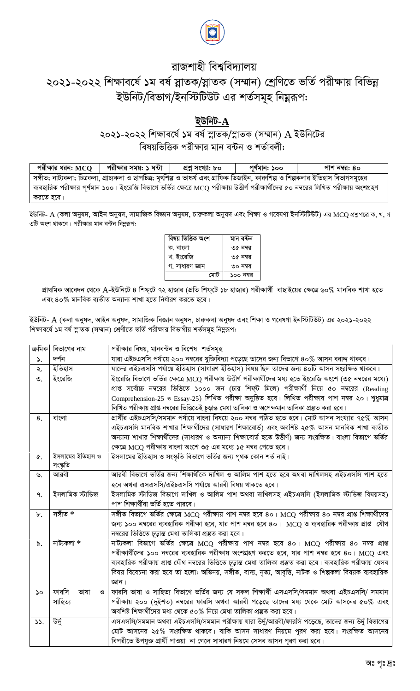

## রাজশাহী বিশ্ববিদ্যালয় ২০২১-২০২২ শিক্ষাবর্ষে ১ম বর্ষ স্নাতক/স্নাতক (সম্মান) শ্রেণিতে ভর্তি পরীক্ষায় বিভিন্ন ইউনিট/বিভাগ/ইনস্টিটিউট এর শর্তসমূহ নিয়ুরূপ:

#### ইউনিট- $\bf{A}$

#### ২০২১-২০২২ শিক্ষাবৰ্ষে ১ম বৰ্ষ স্নাতক/স্নাতক (সম্মান) A ইউনিটের বিষয়ভিত্তিক পরীক্ষার মান বন্টন ও শর্তাবলী:

পরীক্ষার সময়: ১ ঘন্টা প্ৰশ্ন সংখ্যা: ৮০ পরীক্ষার ধরনः  $\mathrm{MCO}^-$ পুৰ্ণমান: ১০০ পাশ নম্বর: ৪০ সঙ্গীত; নাট্যকলা; চিত্রকলা, প্রাচ্যকলা ও ছাপচিত্র; মৃৎশিল্প ও ভাষ্কর্য এবং গ্রাফিক ডিজাইন, কারুশিল্প ও শিল্পকলার ইতিহাস বিভাগসমূহের ব্যবহারিক পরীক্ষার পূর্ণমান ১০০। ইংরেজি বিভাগে ভর্তির ক্ষেত্রে MCQ পরীক্ষায় উত্তীর্ণ পরীক্ষার্থীদের ৫০ নম্বরের লিখিত পরীক্ষায় অংশগ্রহণ করতে হবে।

ইউনিট- A (কলা অনুষদ, আইন অনুষদ, সামাজিক বিজ্ঞান অনুষদ, চারুকলা অনুষদ এবং শিক্ষা ও গবেষণা ইনস্টিটিউট) এর MCQ প্রশ্নলে ক, খ, গ ৩টি অংশ থাকবে। পরীক্ষার মান বন্টন নিম্নরূপ:

| বিষয় ভিত্তিক অংশ | মান বন্টন |
|-------------------|-----------|
| ক. বাংলা          | ৩৫ নম্বর  |
| খ. ইংরেজি         | ৩৫ নম্বর  |
| গ. সাধারণ জ্ঞান   | ৩০ নম্বর  |
| মোট               | ১০০ নম্বর |

প্রাথমিক আবেদন থেকে A-ইউনিটে ৪ শিফ্টে ৭২ হাজার (প্রতি শিফ্টে ১৮ হাজার) পরীক্ষার্থী বাছাইয়ের ক্ষেত্রে ৬০% মানবিক শাখা হতে এবং ৪০% মানবিক ব্যতীত অন্যান্য শাখা হতে নিৰ্ধারণ করতে হবে।

ইউনিট- A (কলা অনুষদ, আইন অনুষদ, সামাজিক বিজ্ঞান অনুষদ, চারুকলা অনুষদ এবং শিক্ষা ও গবেষণা ইনস্টিটিউট) এর ২০২১-২০২২ শিক্ষাবর্ষে ১ম বর্ষ স্নাতক (সম্মান) শ্রেণীতে ভর্তি পরীক্ষার বিভাগীয় শর্তসমূহ নিমুরূপ:

| ক্ৰমিক                | বিভাগের নাম        | পরীক্ষার বিষয়, মানবন্টন ও বিশেষ শর্তসমূহ                                                                        |
|-----------------------|--------------------|------------------------------------------------------------------------------------------------------------------|
| $\mathcal{L}$         | দর্শন              | যারা এইচএসসি পর্যায়ে ২০০ নম্বরের যুক্তিবিদ্যা পড়েছে তাদের জন্য বিভাগে ৪০% আসন বরাদ্দ থাকবে।                    |
| ২.                    | ইতিহাস             | যাদের এইচএসসি পর্যায়ে ইতিহাস (সাধারণ ইতিহাস) বিষয় ছিল তাদের জন্য ৪০টি আসন সংরক্ষিত থাকবে।                      |
| $\circ$ .             | ইংরেজি             | ইংরেজি বিভাগে ভর্তির ক্ষেত্রে MCQ পরীক্ষায় উত্তীর্ণ পরীক্ষার্থীদের মধ্য হতে ইংরেজি অংশে (৩৫ নম্বরের মধ্যে)      |
|                       |                    | প্রাপ্ত সর্বোচ্চ নম্বরের ভিত্তিতে ১০০০ জন (চার শিফ্ট মিলে) পরীক্ষার্থী নিয়ে ৫০ নম্বরের (Reading                 |
|                       |                    | Comprehension-25 ও Essay-25) লিখিত পরীক্ষা অনুষ্ঠিত হবে। লিখিত পরীক্ষার পাশ নম্বর ২০। শুধুমাত্র                  |
|                       |                    | লিখিত পরীক্ষায় প্রাপ্ত নম্বরের ভিত্তিতেই চূড়ান্ত মেধা তালিকা ও অপেক্ষমান তালিকা প্রস্তুত করা হবে।              |
| 8.                    | বাংলা              | প্রার্থীর এইচএসসি/সমমান পর্যায়ে বাংলা বিষয়ে ২০০ নম্বর পঠিত হতে হবে। মোট আসন সংখ্যার ৭৫% আসন                    |
|                       |                    | এইচএসসি মানবিক শাখার শিক্ষার্থীদের (সাধারণ শিক্ষাবোর্ড) এবং অবশিষ্ট ২৫% আসন মানবিক শাখা ব্যতীত                   |
|                       |                    | অন্যান্য শাখার শিক্ষার্থীদের (সাধারণ ও অন্যান্য শিক্ষাবোর্ড হতে উত্তীর্ণ) জন্য সংরক্ষিত। বাংলা বিভাগে ভর্তির     |
|                       |                    | ক্ষেত্রে MCQ পরীক্ষায় বাংলা অংশে ৩৫ এর মধ্যে ১৫ নম্বর পেতে হবে।                                                 |
| ¢.                    | ইসলামের ইতিহাস ও   | ইসলামের ইতিহাস ও সংস্কৃতি বিভাগে ভর্তির জন্য পৃথক কোন শর্ত নাই।                                                  |
|                       | সংস্কৃতি           |                                                                                                                  |
| ৬.                    | আরবী               | আরবী বিভাগে ভর্তির জন্য শিক্ষার্থীকে দাখিল ও আলিম পাশ হতে হবে অথবা দাখিলসহ এইচএসসি পাশ হতে                       |
|                       |                    | হবে অথবা এসএসসি/এইচএসসি পর্যায়ে আরবী বিষয় থাকতে হবে।                                                           |
| ٩.                    | ইসলামিক স্টাডিজ    | ইসলামিক স্টাডিজ বিভাগে দাখিল ও আলিম পাশ অথবা দাখিলসহ এইচএসসি (ইসলামিক স্টাডিজ বিষয়সহ)                           |
|                       |                    | পাশ শিক্ষার্থীরা ভর্তি হতে পারবে।                                                                                |
| $\mathbf{b}$ .        | সঙ্গীত *           | সঙ্গীত বিভাগে ভর্তির ক্ষেত্রে MCQ পরীক্ষায় পাশ নম্বর হবে ৪০। MCQ পরীক্ষায় ৪০ নম্বর প্রাপ্ত শিক্ষার্থীদের       |
|                       |                    | জন্য ১০০ নম্বরের ব্যবহারিক পরীক্ষা হবে, যার পাশ নম্বর হবে ৪০। MCQ ও ব্যবহারিক পরীক্ষায় প্রাপ্ত  যৌথ             |
|                       |                    | নম্বরের ভিত্তিতে চূড়ান্ত মেধা তালিকা প্রস্তুত করা হবে।                                                          |
| ৯.                    | নাট্যকলা *         | নাট্যকলা বিভাগে ভর্তির ক্ষেত্রে MCQ পরীক্ষায় পাশ নম্বর হবে ৪০। MCQ পরীক্ষায় ৪০ নম্বর প্রাপ্ত                   |
|                       |                    | পরীক্ষার্থীদের ১০০ নম্বরের ব্যবহারিক পরীক্ষায় অংশগ্রহণ করতে হবে, যার পাশ নম্বর হবে ৪০। MCQ এবং                  |
|                       |                    | ব্যবহারিক পরীক্ষায় প্রাপ্ত যৌথ নম্বরের ভিত্তিতে চূড়ান্ত মেধা তালিকা প্রস্তুত করা হবে। ব্যবহারিক পরীক্ষায় যেসব |
|                       |                    | বিষয় বিবেচনা করা হবে তা হলো: অভিনয়, সঙ্গীত, বাদ্য, নৃত্য, আবৃত্তি, নাটক ও শিল্পকলা বিষয়ক ব্যবহারিক            |
|                       |                    | জ্ঞান।                                                                                                           |
| $\mathcal{S}^{\circ}$ | ফারসি<br>ভাষা<br>ও | ফারসি ভাষা ও সাহিত্য বিভাগে ভর্তির জন্য যে সকল শিক্ষার্থী এসএসসি/সমমান অথবা এইচএসসি/ সমমান                       |
|                       | সাহিত্য            | পরীক্ষায় ২০০ (দুইশত) নম্বরের ফারসি অথবা আরবী পড়েছে তাদের মধ্য থেকে মোট আসনের ৫০% এবং                           |
|                       |                    | অবশিষ্ট শিক্ষার্থীদের মধ্য থেকে ৫০% নিয়ে মেধা তালিকা প্রস্তুত করা হবে।                                          |
| 33.                   | উৰ্দু              | এসএসসি/সমমান অথবা এইচএসসি/সমমান পরীক্ষায় যারা উর্দু/আরবী/ফারসি পড়েছে, তাদের জন্য উর্দু বিভাগের                 |
|                       |                    | মোট আসনের ২৫% সংরক্ষিত থাকবে। বাকি আসন সাধারণ নিয়মে পূরণ করা হবে। সংরক্ষিত আসনের                                |
|                       |                    | বিপরীতে উপযুক্ত প্রার্থী পাওয়া না গেলে সাধারণ নিয়মে সেসব আসন পূরণ করা হবে।                                     |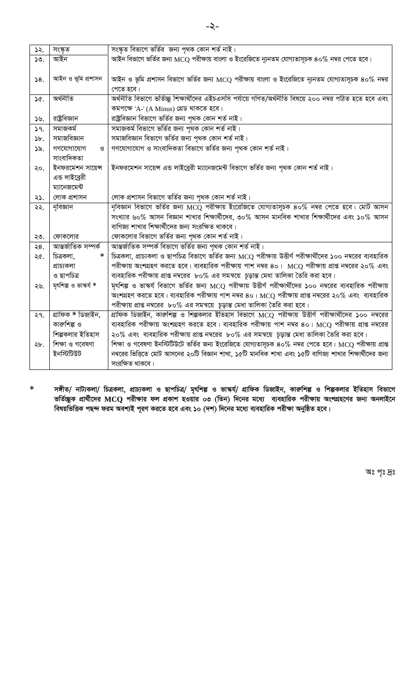| ১২.              | সংস্কৃত                     | সংস্কৃত বিভাগে ভৰ্তির  জন্য পৃথক কোন শৰ্ত নাই।                                                                 |
|------------------|-----------------------------|----------------------------------------------------------------------------------------------------------------|
| 50.              | আইন                         | আইন বিভাগে ভর্তির জন্য MCQ পরীক্ষায় বাংলা ও ইংরেজিতে ন্যূনতম যোগ্যতাসূচক ৪০% নম্বর পেতে হবে।                  |
|                  |                             |                                                                                                                |
| 58.              | আইন ও ভূমি প্ৰশাসন          | আইন ও ভূমি প্রশাসন বিভাগে ভর্তির জন্য MCQ পরীক্ষায় বাংলা ও ইংরেজিতে ন্যূনতম যোগ্যতাসূচক ৪০% নম্বর             |
|                  |                             | পেতে হবে।                                                                                                      |
| ነ৫.              | অৰ্থনীতি                    | অৰ্থনীতি বিভাগে ভৰ্তিচ্ছু শিক্ষাৰ্থীদের এইচএসসি পৰ্যায়ে গণিত/অৰ্থনীতি বিষয়ে ২০০ নম্বর পঠিত হতে হবে এবং       |
|                  |                             | কমপক্ষে 'A-' (A Minus) গ্ৰেড থাকতে হবে।                                                                        |
| $\mathcal{Y}$ ৬. | রাষ্ট্রবিজ্ঞান              | রাষ্ট্রবিজ্ঞান বিভাগে ভর্তির জন্য পৃথক কোন শর্ত নাই।                                                           |
| 39.              | সমাজকৰ্ম                    | সমাজকৰ্ম বিভাগে ভৰ্তির জন্য পৃথক কোন শৰ্ত নাই।                                                                 |
| $\delta b$ .     | সমাজবিজ্ঞান                 | সমাজবিজ্ঞান বিভাগে ভৰ্তির জন্য পৃথক কোন শর্ত নাই।                                                              |
| ১৯.              | গণযোগাযোগ<br>$\mathcal{O}$  | গণযোগাযোগ ও সাংবাদিকতা বিভাগে ভর্তির জন্য পৃথক কোন শর্ত নাই।                                                   |
|                  | সাংবাদিকতা                  |                                                                                                                |
| ২০.              | ইনফরমেশন সায়েন্স           | ইনফরমেশন সায়েন্স এন্ড লাইব্রেরী ম্যানেজমেন্ট বিভাগে ভর্তির জন্য পৃথক কোন শর্ত নাই।                            |
|                  | এন্ড লাইব্রেরী              |                                                                                                                |
|                  | ম্যানেজমেন্ট                |                                                                                                                |
| ২১.              | লোক প্ৰশাসন                 | লোক প্রশাসন বিভাগে ভর্তির জন্য পৃথক কোন শর্ত নাই।                                                              |
| ২২.              | নৃবিজ্ঞান                   | নৃবিজ্ঞান বিভাগে ভর্তির জন্য MCQ পরীক্ষায় ইংরেজিতে যোগ্যতাসূচক ৪০% নম্বর পেতে হবে। মোট আসন                    |
|                  |                             | সংখ্যার ৬০% আসন বিজ্ঞান শাখার শিক্ষার্থীদের, ৩০% আসন মানবিক শাখার শিক্ষার্থীদের এবং ১০% আসন                    |
|                  |                             | বাণিজ্য শাখার শিক্ষার্থীদের জন্য সংরক্ষিত থাকবে।                                                               |
| ২৩.              | ফোকলোর                      | ফোকলোর বিভাগে ভর্তির জন্য পৃথক কোন শর্ত নাই।                                                                   |
| 28.              | আন্তর্জাতিক সম্পর্ক         | আন্তর্জাতিক সম্পর্ক বিভাগে ভর্তির জন্য পৃথক কোন শর্ত নাই।                                                      |
| ২৫.              | চিত্ৰকলা,<br>$\ast$         | চিত্রকলা, প্রাচ্যকলা ও ছাপচিত্র বিভাগে ভর্তির জন্য MCQ পরীক্ষায় উত্তীর্ণ পরীক্ষার্থীদের ১০০ নম্বরের ব্যবহারিক |
|                  | প্ৰাচ্যকলা                  | পরীক্ষায় অংশগ্রহণ করতে হবে। ব্যবহারিক পরীক্ষায় পাশ নম্বর ৪০। $\,$ MCQ পরীক্ষায় প্রাপ্ত নম্বরের ২০% এবং      |
|                  | ও ছাপচিত্ৰ                  | ব্যবহারিক পরীক্ষায় প্রাপ্ত নম্বরের ৮০% এর সমন্বয়ে  চূড়ান্ত মেধা তালিকা তৈরি করা হবে।                        |
| ২৬.              | মূৰ্ণিল্প ও ভাস্কৰ্য $\ast$ | মূৎশিল্প ও ভাস্কর্য বিভাগে ভর্তির জন্য MCQ পরীক্ষায় উত্তীর্ণ পরীক্ষার্থীদের ১০০ নম্বরের ব্যবহারিক পরীক্ষায়   |
|                  |                             | অংশগ্রহণ করতে হবে। ব্যবহারিক পরীক্ষায় পাশ নম্বর ৪০। MCQ পরীক্ষায় প্রাপ্ত নম্বরের ২০% এবং ব্যবহারিক           |
|                  |                             | পরীক্ষায় প্রাপ্ত নম্বরের $\,$ ৮০% এর সমন্বয়ে  চূড়ান্ত মেধা তালিকা তৈরি করা হবে।                             |
| ২৭.              | গ্ৰাফিক * ডিজাইন,           | গ্রাফিক ডিজাইন, কারুশিল্প ও শিল্পকলার ইতিহাস বিভাগে MCQ পরীক্ষায় উত্তীর্ণ পরীক্ষার্থীদের ১০০ নম্বরের          |
|                  | কারুশিল্প ও                 | ব্যবহারিক পরীক্ষায় অংশগ্রহণ করতে হবে। ব্যবহারিক পরীক্ষায় পাশ নম্বর ৪০। MCQ পরীক্ষায় প্রাপ্ত নম্বরের         |
|                  | শিল্পকলার ইতিহাস            | ২০% এবং ব্যবহারিক পরীক্ষায় প্রাপ্ত নম্বরের ৮০% এর সমন্বয়ে চূড়ান্ত মেধা তালিকা তৈরি করা হবে।                 |
| ২৮.              | শিক্ষা ও গবেষণা             | শিক্ষা ও গবেষণা ইনস্টিটিউটে ভর্তির জন্য ইংরেজিতে যোগ্যতাসূচক ৪০% নম্বর পেতে হবে। MCQ পরীক্ষায় প্রাপ্ত         |
|                  | ইনস্টিটিউট                  | নম্বরের ভিত্তিতে মোট আসনের ২০টি বিজ্ঞান শাখা, ১৫টি মানবিক শাখা এবং ১৫টি বাণিজ্য শাখার শিক্ষার্থীদের জন্য       |
|                  |                             | সংরক্ষিত থাকবে।                                                                                                |

সঙ্গীত/ নাট্যকলা/ চিত্রকলা, প্রাচ্যকলা ও ছাপচিত্র/ মৃৎশিল্প ও ভাস্কর্য/ গ্রাফিক ডিজাইন, কারুশিল্প ও শিল্পকলার ইতিহাস বিভাগে<br>ভর্তিচ্ছুক প্রার্থীদের MCQ পরীক্ষার ফল প্রকাশ হওয়ার ০৩ (তিন) দিনের মধ্যে ব্যবহারিক পরীক্ষায় অ  $\ast$ 

অঃ পৃঃ দ্রঃ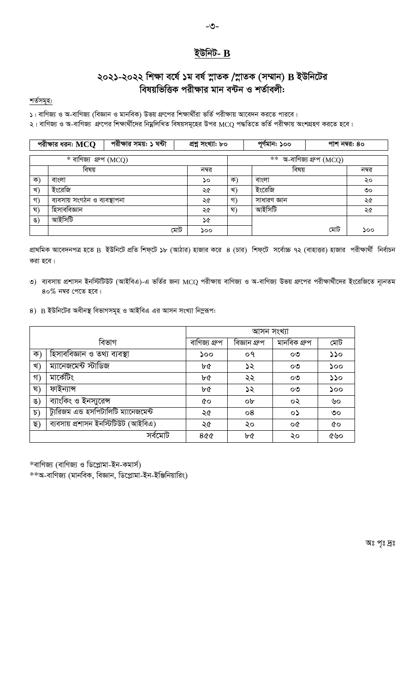#### ইউনিট- $B$

### ২০২১-২০২২ শিক্ষা বর্ষে ১ম বর্ষ স্নাতক /স্নাতক (সম্মান) B ইউনিটের বিষয়ভিত্তিক পরীক্ষার মান বন্টন ও শর্তাবলী:

শৰ্তসমূহ:

১। বাণিজ্য ও অ-বাণিজ্য (বিজ্ঞান ও মানবিক) উভয় গ্রুপের শিক্ষার্থীরা ভর্তি পরীক্ষায় আবেদন করতে পারবে।

২। বাণিজ্য ও অ-বাণিজ্য গ্রুপের শিক্ষার্থীদের নিয়ুলিখিত বিষয়সমূহের উপর MCQ পদ্ধতিতে ভর্তি পরীক্ষায় অংশগ্রহণ করতে হবে।

|               | পরীক্ষার ধরনः $\mathbf{M}\mathbf{C}\mathbf{Q}$ | পরীক্ষার সময়: ১ ঘন্টা | প্ৰশ্ন সংখ্যা: ৮০ |    | পূর্ণমান: ১০০ |                            | পাশ নম্বর: ৪০ |
|---------------|------------------------------------------------|------------------------|-------------------|----|---------------|----------------------------|---------------|
|               | $\overline{\ast}$ বাণিজ্য গ্রুপ (MCQ)          |                        |                   |    |               | $**$ অ-বাণিজ্য গ্রুপ (MCQ) |               |
|               | বিষয়                                          |                        | নম্বর             |    | বিষয়         |                            | নম্বর         |
| ক)            | বাংলা                                          |                        | ১০                | ক  | বাংলা         |                            | ২০            |
| খ)            | ইংরেজি                                         |                        | ২৫                | খ) | ইংরেজি        |                            | $\circ$       |
| গ)            | ব্যবসায় সংগঠন ও ব্যবস্থাপনা                   |                        | ২৫                | গ) | সাধারণ জ্ঞান  |                            | ২৫            |
| श)            | হিসাববিজ্ঞান                                   |                        | ২৫                | श) | আইসিটি        |                            | ২৫            |
| $\mathcal{B}$ | আইসিটি                                         |                        | ১৫                |    |               |                            |               |
|               |                                                |                        | মোট<br>১০০        |    |               | মোট                        | ১০০           |

প্রাথমিক আবেদনপত্র হতে B ইউনিটে প্রতি শিফ্টে ১৮ (আঠার) হাজার করে ৪ (চার) শিফ্টে সর্বোচ্চ ৭২ (বাহাত্তর) হাজার পরীক্ষার্থী নির্বাচন করা হবে।

- ৩) ব্যবসায় প্রশাসন ইনস্টিটিউট (আইবিএ)-এ ভর্তির জন্য MCQ পরীক্ষায় বাণিজ্য ও অ-বাণিজ্য উভয় গ্রুপের পরীক্ষার্থীদের ইংরেজিতে ন্যূনতম  $80\%$  নম্বর পেতে হবে।
- 8) B ইউনিটের অধীনস্থ বিভাগসমূহ ও আইবিএ এর আসন সংখ্যা নিমুরূপ:

|               |                                       |               | আসন সংখ্যা    |              |     |
|---------------|---------------------------------------|---------------|---------------|--------------|-----|
|               | বিভাগ                                 | বাণিজ্য গ্ৰুপ | বিজ্ঞান গ্ৰুপ | মানবিক গ্ৰুপ | মোট |
| ক)            | হিসাববিজ্ঞান ও তথ্য ব্যবস্থা          | ১০০           | ०१            | ೦೨           | 550 |
| খ)            | ম্যানেজমেন্ট স্টাডিজ                  | ৮৫            | ১২            | ೦೨           | ১০০ |
| গ)            | মাৰ্কেটিং                             | ৮৫            | ২২            | ೦೨           | 550 |
| ঘ)            | ফাইন্যান্স                            | ৮৫            | ১২            | ೦೨           | ১০০ |
| ঙ)            | ব্যাংকিং ও ইনস্যুরেন্স                | ৫০            | ob            | ০২           | ৬০  |
| $\mathcal{D}$ | ট্যুরিজম এন্ড হসপিটালিটি ম্যানেজমেন্ট | ২৫            | 08            | ০১           | ৩০  |
| ছ)            | ব্যবসায় প্রশাসন ইনস্টিটিউট (আইবিএ)   | ২৫            | ২০            | οG           | &o  |
|               | সৰ্বমোট                               | 800           | ৮৫            | ২০           | ৫৬০ |

\*বাণিজ্য (বাণিজ্য ও ডিপ্লোমা-ইন-কমার্স)

\*\*অ-বাণিজ্য (মানবিক, বিজ্ঞান, ডিপ্লোমা-ইন-ইঞ্জিনিয়ারিং)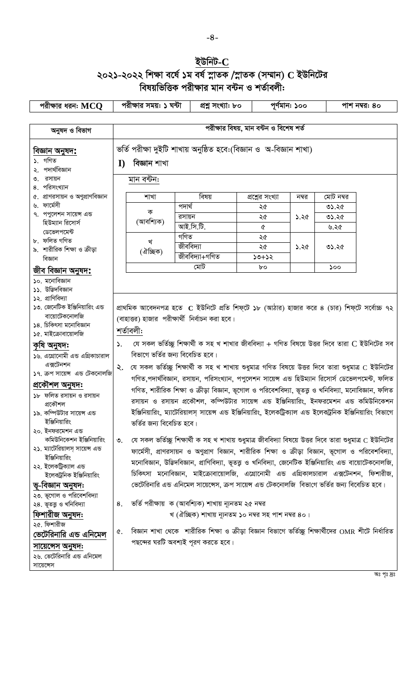# ইউনিট- $C$ ২০২১-২০২২ শিক্ষা বর্ষে ১ম বর্ষ স্নাতক /স্নাতক (সম্মান) C ইউনিটের<br>বিষয়ভিত্তিক পরীক্ষার মান বন্টন ও শর্তাবলী:

| পরীক্ষার ধরন: $\mathrm{M}\mathrm{C}\mathrm{Q}$      |                 | পরীক্ষার সময়: ১ ঘন্টা                         |        | প্ৰশ্ন সংখ্যা: ৮০                                    |                                                                                                                                  | পূর্ণমান: ১০০ |           | পাশ নম্বর: ৪০ |
|-----------------------------------------------------|-----------------|------------------------------------------------|--------|------------------------------------------------------|----------------------------------------------------------------------------------------------------------------------------------|---------------|-----------|---------------|
|                                                     |                 |                                                |        |                                                      |                                                                                                                                  |               |           |               |
| অনুষদ ও বিভাগ                                       |                 |                                                |        |                                                      | পরীক্ষার বিষয়, মান বন্টন ও বিশেষ শর্ত                                                                                           |               |           |               |
| বিজ্ঞান অনুষদ <b>:</b><br>১. গণিত<br>পদার্থবিজ্ঞান  | $\bf{I}$        | বিজ্ঞান শাখা                                   |        |                                                      | ভর্তি পরীক্ষা দুইটি শাখায় অনুষ্ঠিত হবে:(বিজ্ঞান ও অ-বিজ্ঞান শাখা)                                                               |               |           |               |
| রসায়ন<br>8. পরিসংখ্যান                             |                 | মান বন্টন:                                     |        |                                                      |                                                                                                                                  |               |           |               |
| ৫. প্রাণরসায়ন ও অণুপ্রাণবিজ্ঞান                    |                 | শাখা                                           |        | বিষয়                                                | প্রশ্নের সংখ্যা                                                                                                                  | নম্বর         | মোট নম্বর |               |
| ৬. ফার্মেসী                                         |                 | ক                                              | পদাৰ্থ |                                                      | ২৫                                                                                                                               |               | 05.36     |               |
| ৭. পপুলেশন সায়েন্স এন্ড<br>হিউম্যান রিসোর্স        |                 | (আবশ্যিক)                                      | রসায়ন |                                                      | ২৫                                                                                                                               | ১.২৫          | 05.36     |               |
| ডেভেলপমেন্ট                                         |                 |                                                |        | আই.সি.টি.                                            | Q                                                                                                                                |               | ৬.২৫      |               |
| ৮. ফলিত গণিত                                        |                 | খ                                              | গণিত   | জীববিদ্যা                                            | ২৫                                                                                                                               |               |           |               |
| ৯. শারীরিক শিক্ষা ও ক্রীড়া                         |                 | (ঐচ্ছিক)                                       |        | জীববিদ্যা+গণিত                                       | ২৫<br>$50+52$                                                                                                                    | ১.২৫          | 02.30     |               |
| বিজ্ঞান                                             |                 |                                                |        | মোট                                                  | bo                                                                                                                               |               | ১০০       |               |
| জীব বিজ্ঞান অনুষদ <b>:</b>                          |                 |                                                |        |                                                      |                                                                                                                                  |               |           |               |
| ১০. মনোবিজ্ঞান<br>১১. উদ্ভিদবিজ্ঞান                 |                 |                                                |        |                                                      |                                                                                                                                  |               |           |               |
| ১২. প্রাণিবিদ্যা                                    |                 |                                                |        |                                                      |                                                                                                                                  |               |           |               |
| ১৩. জেনেটিক ইঞ্জিনিয়ারিং এন্ড                      |                 |                                                |        |                                                      | প্রাথমিক আবেদনপত্র হতে  C ইউনিটে প্রতি শিফ্টে ১৮ (আঠার) হাজার করে ৪ (চার) শিফ্টে সর্বোচ্চ ৭২                                     |               |           |               |
| বায়োটেকনোলজি                                       |                 | (বাহাত্তর) হাজার পরীক্ষার্থী নির্বাচন করা হবে। |        |                                                      |                                                                                                                                  |               |           |               |
| ১৪. চিকিৎসা মনোবিজ্ঞান                              |                 | শৰ্তাবলী:                                      |        |                                                      |                                                                                                                                  |               |           |               |
| ১৫. মাইক্রোবায়োলজি                                 |                 |                                                |        |                                                      |                                                                                                                                  |               |           |               |
| কৃষি অনুষদ:                                         | ۵.              |                                                |        |                                                      | যে সকল ভর্তিচ্ছু শিক্ষার্থী ক সহ খ শাখার জীববিদ্যা + গণিত বিষয়ে উত্তর দিবে তারা $\bf C$ ইউনিটের সব                              |               |           |               |
| ১৬. এগ্রোনোমী এন্ড এগ্রিকাচারাল<br>এক্সটেনশন        |                 | বিভাগে ভৰ্তির জন্য বিবেচিত হবে।                |        |                                                      |                                                                                                                                  |               |           |               |
| ১৭. ক্রপ সায়েন্স এন্ড টেকনোলজি                     | ২.              |                                                |        |                                                      | যে সকল ভর্তিচ্ছু শিক্ষার্থী ক সহ খ শাখায় শুধুমাত্র গণিত বিষয়ে উত্তর দিবে তারা শুধুমাত্র $\rm{C}$ ইউনিটের                       |               |           |               |
| প্ৰকৌশল অনুষদ:                                      |                 |                                                |        |                                                      | গণিত,পদার্থবিজ্ঞান, রসায়ন, পরিসংখ্যান, পপুলেশন সায়েন্স এন্ড হিউম্যান রিসোর্স ডেভেলপমেন্ট, ফলিত                                 |               |           |               |
| ১৮ ফলিত রসায়ন ও রসায়ন                             |                 |                                                |        |                                                      | গণিত, শারীরিক শিক্ষা ও ক্রীড়া বিজ্ঞান, ভূগোল ও পরিবেশবিদ্যা, ভূতত্ত্ব ও খনিবিদ্যা, মনোবিজ্ঞান, ফলিত                             |               |           |               |
| প্ৰকৌশল                                             |                 |                                                |        |                                                      | রসায়ন ও রসায়ন প্রকৌশল, কম্পিউটার সায়েন্স এন্ড ইঞ্জিনিয়ারিং, ইনফরমেশন এন্ড কমিউনিকেশন                                         |               |           |               |
| ১৯. কম্পিউটার সায়েন্স এন্ড                         |                 |                                                |        |                                                      | ইঞ্জিনিয়ারিং, ম্যাটেরিয়ালস্ সায়েন্স এন্ড ইঞ্জিনিয়ারিং, ইলেকট্রিক্যাল এন্ড ইলেকট্রনিক ইঞ্জিনিয়ারিং বিভাগে                    |               |           |               |
| ইঞ্জিনিয়ারিং                                       |                 | ভৰ্তির জন্য বিবেচিত হবে।                       |        |                                                      |                                                                                                                                  |               |           |               |
| ২০. ইনফরমেশন এন্ড<br>কমিউনিকেশন ইঞ্জিনিয়ারিং       |                 |                                                |        |                                                      | যে সকল ভর্তিচ্ছু শিক্ষার্থী ক সহ খ শাখায় শুধুমাত্র জীববিদ্যা বিষয়ে উত্তর দিবে তারা শুধুমাত্র $\boldsymbol{\mathsf{C}}$ ইউনিটের |               |           |               |
| ২১. ম্যাটেরিয়ালস্ সায়েন্স এন্ড                    | $\mathcal{O}$ . |                                                |        |                                                      |                                                                                                                                  |               |           |               |
| ইঞ্জিনিয়ারিং                                       |                 |                                                |        |                                                      | ফার্মেসী, প্রাণরসায়ন ও অণুপ্রাণ বিজ্ঞান, শারীরিক শিক্ষা ও ক্রীড়া বিজ্ঞান, ভূগোল ও পরিবেশবিদ্যা,                                |               |           |               |
| ২২. ইলেকট্রিক্যাল এন্ড                              |                 |                                                |        |                                                      | মনোবিজ্ঞান, উদ্ভিদবিজ্ঞান, প্রাণিবিদ্যা, ভূতত্তু ও খনিবিদ্যা, জেনেটিক ইঞ্জিনিয়ারিং এন্ড বায়োটেকনোলজি,                          |               |           |               |
| ইলেকট্রনিক ইঞ্জিনিয়ারিং                            |                 |                                                |        |                                                      | চিকিৎসা মনোবিজ্ঞান, মাইক্রোবায়োলজি, এগ্রোনোমী এন্ড এগ্রিকালচারাল এক্সটেনশন, ফিশারীজ,                                            |               |           |               |
| ভূ-বিজ্ঞান অনুষদ:                                   |                 |                                                |        |                                                      | ভেটেরিনারি এন্ড এনিমেল সায়েন্সেস, ক্রপ সায়েন্স এন্ড টেকনোলজি  বিভাগে ভর্তির জন্য বিবেচিত হবে।                                  |               |           |               |
| ২৩. ভূগোল ও পরিবেশবিদ্যা<br>২৪. ভূতত্তু ও খনিবিদ্যা | 8.              |                                                |        | ভর্তি পরীক্ষায়  ক (আবশ্যিক) শাখায় ন্যূনতম ২৫ নম্বর |                                                                                                                                  |               |           |               |
| ফিশারীজ অনুষদ:                                      |                 |                                                |        |                                                      | খ (ঐচ্ছিক) শাখায় ন্যূনতম ১০ নম্বর সহ পাশ নম্বর ৪০।                                                                              |               |           |               |
| ২৫. ফিশারীজ                                         |                 |                                                |        |                                                      |                                                                                                                                  |               |           |               |
| ভেটেরিনারি এন্ড এনিমেল                              | ¢.              |                                                |        |                                                      | বিজ্ঞান শাখা থেকে  শারীরিক শিক্ষা ও ক্রীড়া বিজ্ঞান বিভাগে ভর্তিচ্ছু শিক্ষার্থীদের OMR শীটে নির্ধারিত                            |               |           |               |
| সায়েন্সেস অনুষদ:                                   |                 |                                                |        | পছন্দের ঘরটি অবশ্যই পূরণ করতে হবে।                   |                                                                                                                                  |               |           |               |
| ২৬. ভেটেরিনারি এন্ড এনিমেল                          |                 |                                                |        |                                                      |                                                                                                                                  |               |           |               |
| সায়েন্সেস                                          |                 |                                                |        |                                                      |                                                                                                                                  |               |           |               |
|                                                     |                 |                                                |        |                                                      |                                                                                                                                  |               |           | অঃ পৃঃ দ্রঃ   |